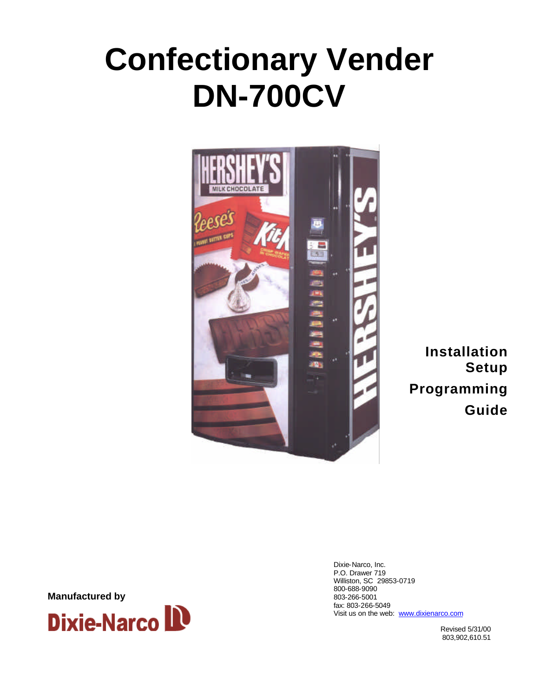# **Confectionary Vender DN-700CV**



**Installation Setup Programming Guide**

Dixie-Narco, Inc. P.O. Drawer 719 Williston, SC 29853-0719 800-688-9090 803-266-5001 fax: 803-266-5049 Visit us on the web: www.dixienarco.com

Revised 5/31/00 803,902,610.51

**Manufactured by**

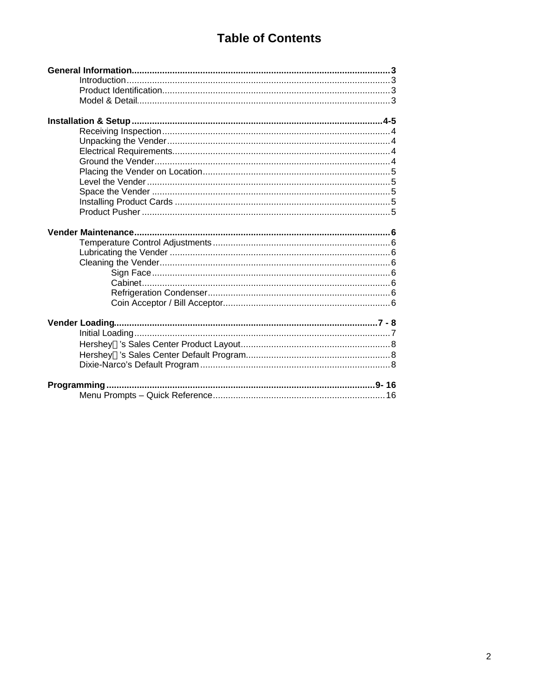### **Table of Contents**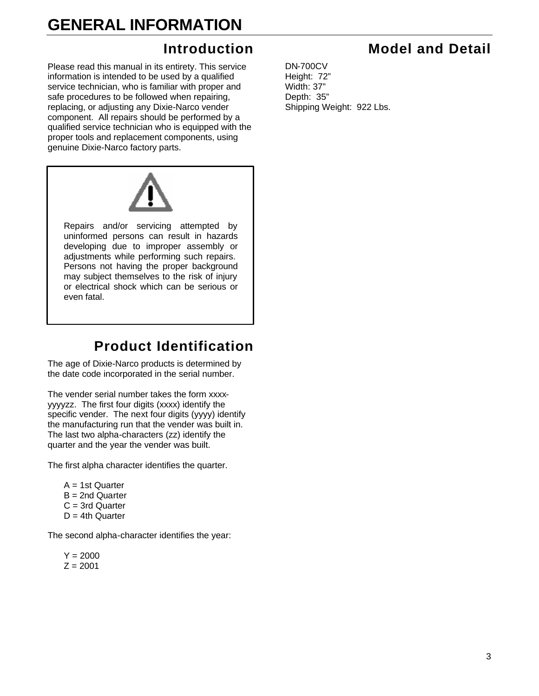### **GENERAL INFORMATION**

### **Introduction**

Please read this manual in its entirety. This service information is intended to be used by a qualified service technician, who is familiar with proper and safe procedures to be followed when repairing, replacing, or adjusting any Dixie-Narco vender component. All repairs should be performed by a qualified service technician who is equipped with the proper tools and replacement components, using genuine Dixie-Narco factory parts.



### **Product Identification**

The age of Dixie-Narco products is determined by the date code incorporated in the serial number.

The vender serial number takes the form xxxxyyyyzz. The first four digits (xxxx) identify the specific vender. The next four digits (yyyy) identify the manufacturing run that the vender was built in. The last two alpha-characters (zz) identify the quarter and the year the vender was built.

The first alpha character identifies the quarter.

 $A = 1$ st Quarter B = 2nd Quarter C = 3rd Quarter  $D = 4$ th Quarter

The second alpha-character identifies the year:

 $Y = 2000$  $Z = 2001$ 

### **Model and Detail**

DN-700CV Height: 72" Width: 37" Depth: 35" Shipping Weight: 922 Lbs.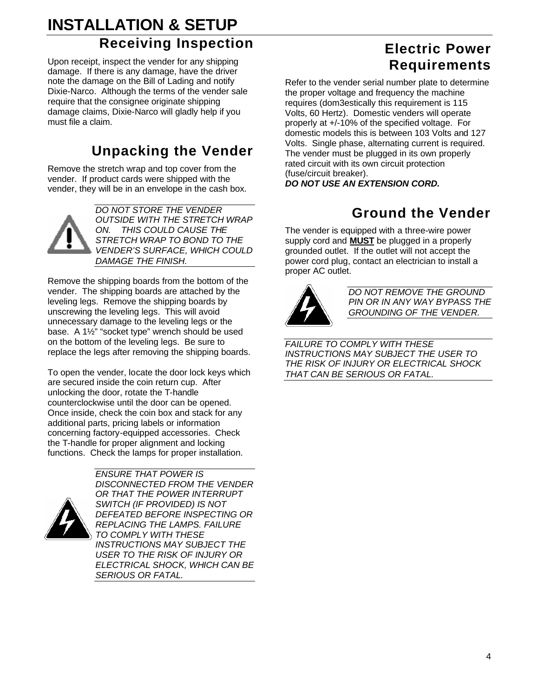### **INSTALLATION & SETUP Receiving Inspection**

Upon receipt, inspect the vender for any shipping damage. If there is any damage, have the driver note the damage on the Bill of Lading and notify Dixie-Narco. Although the terms of the vender sale require that the consignee originate shipping damage claims, Dixie-Narco will gladly help if you must file a claim.

### **Unpacking the Vender**

Remove the stretch wrap and top cover from the vender. If product cards were shipped with the vender, they will be in an envelope in the cash box.



Remove the shipping boards from the bottom of the vender. The shipping boards are attached by the leveling legs. Remove the shipping boards by unscrewing the leveling legs. This will avoid unnecessary damage to the leveling legs or the base. A 1½" "socket type" wrench should be used on the bottom of the leveling legs. Be sure to replace the legs after removing the shipping boards.

To open the vender, locate the door lock keys which are secured inside the coin return cup. After unlocking the door, rotate the T-handle counterclockwise until the door can be opened. Once inside, check the coin box and stack for any additional parts, pricing labels or information concerning factory-equipped accessories. Check the T-handle for proper alignment and locking functions. Check the lamps for proper installation.

*ENSURE THAT POWER IS*



*DISCONNECTED FROM THE VENDER OR THAT THE POWER INTERRUPT SWITCH (IF PROVIDED) IS NOT DEFEATED BEFORE INSPECTING OR REPLACING THE LAMPS. FAILURE TO COMPLY WITH THESE INSTRUCTIONS MAY SUBJECT THE USER TO THE RISK OF INJURY OR ELECTRICAL SHOCK, WHICH CAN BE SERIOUS OR FATAL.*

### **Electric Power Requirements**

Refer to the vender serial number plate to determine the proper voltage and frequency the machine requires (dom3estically this requirement is 115 Volts, 60 Hertz). Domestic venders will operate properly at +/-10% of the specified voltage. For domestic models this is between 103 Volts and 127 Volts. Single phase, alternating current is required. The vender must be plugged in its own properly rated circuit with its own circuit protection (fuse/circuit breaker).

*DO NOT USE AN EXTENSION CORD.*

### **Ground the Vender**

The vender is equipped with a three-wire power supply cord and **MUST** be plugged in a properly grounded outlet. If the outlet will not accept the power cord plug, contact an electrician to install a proper AC outlet.



*DO NOT REMOVE THE GROUND PIN OR IN ANY WAY BYPASS THE GROUNDING OF THE VENDER.*

*FAILURE TO COMPLY WITH THESE INSTRUCTIONS MAY SUBJECT THE USER TO THE RISK OF INJURY OR ELECTRICAL SHOCK THAT CAN BE SERIOUS OR FATAL.*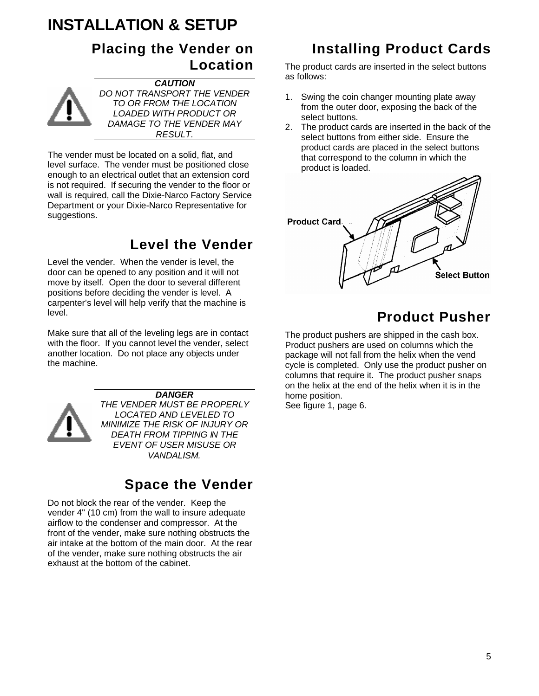### **INSTALLATION & SETUP**

### **Placing the Vender on Location**



*CAUTION DO NOT TRANSPORT THE VENDER TO OR FROM THE LOCATION LOADED WITH PRODUCT OR DAMAGE TO THE VENDER MAY RESULT.*

The vender must be located on a solid, flat, and level surface. The vender must be positioned close enough to an electrical outlet that an extension cord is not required. If securing the vender to the floor or wall is required, call the Dixie-Narco Factory Service Department or your Dixie-Narco Representative for suggestions.

### **Level the Vender**

Level the vender. When the vender is level, the door can be opened to any position and it will not move by itself. Open the door to several different positions before deciding the vender is level. A carpenter's level will help verify that the machine is level.

Make sure that all of the leveling legs are in contact with the floor. If you cannot level the vender, select another location. Do not place any objects under the machine.



*DANGER THE VENDER MUST BE PROPERLY LOCATED AND LEVELED TO MINIMIZE THE RISK OF INJURY OR DEATH FROM TIPPING IN THE EVENT OF USER MISUSE OR VANDALISM.*

### **Space the Vender**

Do not block the rear of the vender. Keep the vender 4" (10 cm) from the wall to insure adequate airflow to the condenser and compressor. At the front of the vender, make sure nothing obstructs the air intake at the bottom of the main door. At the rear of the vender, make sure nothing obstructs the air exhaust at the bottom of the cabinet.

### **Installing Product Cards**

The product cards are inserted in the select buttons as follows:

- 1. Swing the coin changer mounting plate away from the outer door, exposing the back of the select buttons.
- 2. The product cards are inserted in the back of the select buttons from either side. Ensure the product cards are placed in the select buttons that correspond to the column in which the product is loaded.



### **Product Pusher**

The product pushers are shipped in the cash box. Product pushers are used on columns which the package will not fall from the helix when the vend cycle is completed. Only use the product pusher on columns that require it. The product pusher snaps on the helix at the end of the helix when it is in the home position.

See figure 1, page 6.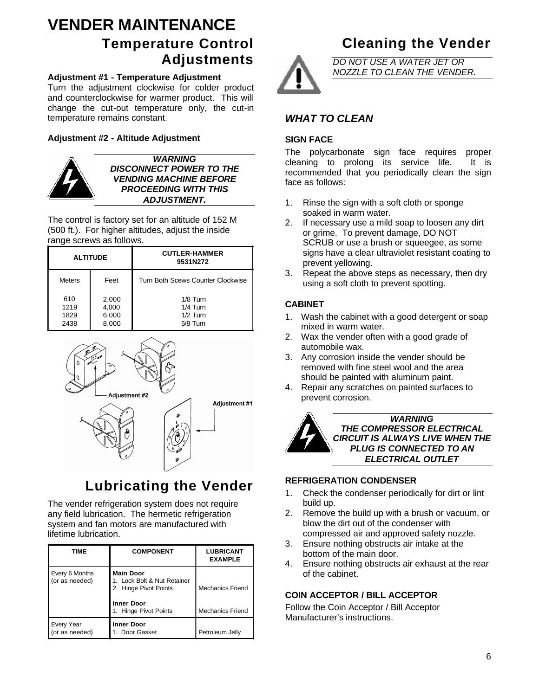### **VENDER MAINTENANCE**

### **Temperature Control Adjustments**

#### **Adjustment #1 - Temperature Adjustment**

Turn the adjustment clockwise for colder product and counterclockwise for warmer product. This will change the cut-out temperature only, the cut-in temperature remains constant.

#### **Adjustment #2 - Altitude Adjustment**



*WARNING DISCONNECT POWER TO THE VENDING MACHINE BEFORE PROCEEDING WITH THIS ADJUSTMENT.*

The control is factory set for an altitude of 152 M (500 ft.). For higher altitudes, adjust the inside range screws as follows.

| <b>ALTITUDE</b>             |                                  | <b>CUTLER-HAMMER</b><br>9531N272                 |
|-----------------------------|----------------------------------|--------------------------------------------------|
| <b>Meters</b>               | Feet                             | Turn Both Scews Counter Clockwise                |
| 610<br>1219<br>1829<br>2438 | 2,000<br>4,000<br>6,000<br>8,000 | 1/8 Turn<br>$1/4$ Turn<br>$1/2$ Turn<br>5/8 Turn |



### **Lubricating the Vender**

The vender refrigeration system does not require any field lubrication. The hermetic refrigeration system and fan motors are manufactured with lifetime lubrication.

| TIME                                | <b>COMPONENT</b>                                                                                                       | <b>LUBRICANT</b><br><b>EXAMPLE</b>                 |
|-------------------------------------|------------------------------------------------------------------------------------------------------------------------|----------------------------------------------------|
| Every 6 Months<br>(or as needed)    | <b>Main Door</b><br>1. Lock Bolt & Nut Retainer<br>2. Hinge Pivot Points<br><b>Inner Door</b><br>1. Hinge Pivot Points | <b>Mechanics Friend</b><br><b>Mechanics Friend</b> |
| <b>Every Year</b><br>(or as needed) | <b>Inner Door</b><br>1. Door Gasket                                                                                    | Petroleum Jelly                                    |

### **Cleaning the Vender**

*DO NOT USE A WATER JET OR NOZZLE TO CLEAN THE VENDER.*

#### *WHAT TO CLEAN*

#### **SIGN FACE**

The polycarbonate sign face requires proper cleaning to prolong its service life. It is recommended that you periodically clean the sign face as follows:

- 1. Rinse the sign with a soft cloth or sponge soaked in warm water.
- 2. If necessary use a mild soap to loosen any dirt or grime. To prevent damage, DO NOT SCRUB or use a brush or squeegee, as some signs have a clear ultraviolet resistant coating to prevent yellowing.
- 3. Repeat the above steps as necessary, then dry using a soft cloth to prevent spotting.

#### **CABINET**

- 1. Wash the cabinet with a good detergent or soap mixed in warm water.
- 2. Wax the vender often with a good grade of automobile wax.
- 3. Any corrosion inside the vender should be removed with fine steel wool and the area should be painted with aluminum paint.
- 4. Repair any scratches on painted surfaces to prevent corrosion.



#### **REFRIGERATION CONDENSER**

- 1. Check the condenser periodically for dirt or lint build up.
- 2. Remove the build up with a brush or vacuum, or blow the dirt out of the condenser with compressed air and approved safety nozzle.
- 3. Ensure nothing obstructs air intake at the bottom of the main door.
- 4. Ensure nothing obstructs air exhaust at the rear of the cabinet.

#### **COIN ACCEPTOR / BILL ACCEPTOR**

Follow the Coin Acceptor / Bill Acceptor Manufacturer's instructions.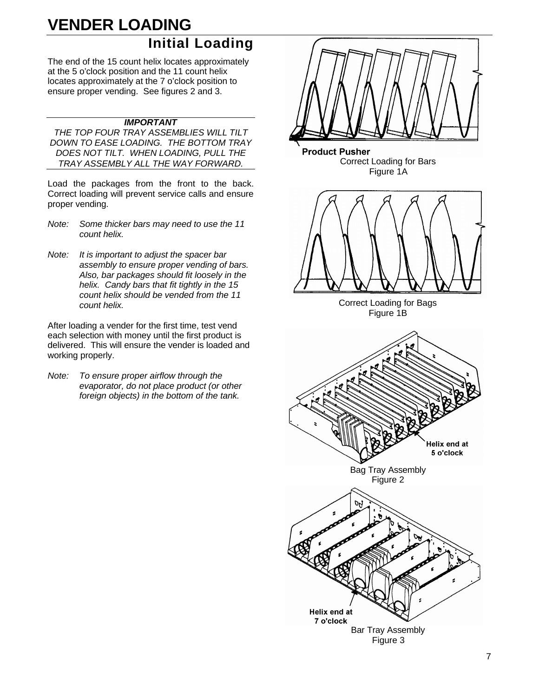## **VENDER LOADING**

### **Initial Loading**

The end of the 15 count helix locates approximately at the 5 o'clock position and the 11 count helix locates approximately at the 7 o'clock position to ensure proper vending. See figures 2 and 3.

#### *IMPORTANT*

*THE TOP FOUR TRAY ASSEMBLIES WILL TILT DOWN TO EASE LOADING. THE BOTTOM TRAY DOES NOT TILT. WHEN LOADING, PULL THE TRAY ASSEMBLY ALL THE WAY FORWARD.*

Load the packages from the front to the back. Correct loading will prevent service calls and ensure proper vending.

- *Note: Some thicker bars may need to use the 11 count helix.*
- *Note: It is important to adjust the spacer bar assembly to ensure proper vending of bars. Also, bar packages should fit loosely in the helix. Candy bars that fit tightly in the 15 count helix should be vended from the 11 count helix.*

After loading a vender for the first time, test vend each selection with money until the first product is delivered. This will ensure the vender is loaded and working properly.

*Note: To ensure proper airflow through the evaporator, do not place product (or other foreign objects) in the bottom of the tank.*

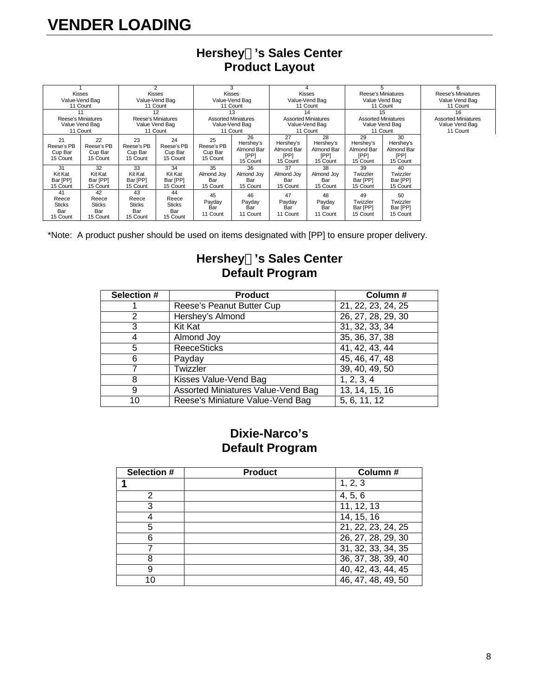### **VENDER LOADING**

|                                                 | Kisses<br>Value-Vend Bag<br>11 Count            |                                                 | 2<br>Kisses<br>Value-Vend Bag<br>11 Count       |                                         | 3<br><b>Kisses</b><br>Value-Vend Bag<br>11 Count               |                                                   | 4<br><b>Kisses</b><br>Value-Vend Bag<br>11 Count               |                                                   | 5<br>Reese's Miniatures<br>Value Vend Bag<br>11 Count          | 6<br>Reese's Miniatures<br>Value Vend Bag<br>11 Count          |
|-------------------------------------------------|-------------------------------------------------|-------------------------------------------------|-------------------------------------------------|-----------------------------------------|----------------------------------------------------------------|---------------------------------------------------|----------------------------------------------------------------|---------------------------------------------------|----------------------------------------------------------------|----------------------------------------------------------------|
| Reese's Miniatures                              | 11<br>Value Vend Bag<br>11 Count                | Reese's Miniatures                              | 12<br>Value Vend Bag<br>11 Count                |                                         | 13<br><b>Assorted Miniatures</b><br>Value-Vend Bag<br>11 Count |                                                   | 14<br><b>Assorted Miniatures</b><br>Value-Vend Bag<br>11 Count | <b>Assorted Miniatures</b>                        | 15<br>Value Vend Bag<br>11 Count                               | 16<br><b>Assorted Miniatures</b><br>Value Vend Bag<br>11 Count |
| 21<br>Reese's PB<br>Cup Bar<br>15 Count         | 22<br>Reese's PB<br>Cup Bar<br>15 Count         | 23<br>Reese's PB<br>Cup Bar<br>15 Count         | 24<br>Reese's PB<br>Cup Bar<br>15 Count         | 25<br>Reese's PB<br>Cup Bar<br>15 Count | 26<br>Hershey's<br>Almond Bar<br>[PP]<br>15 Count              | 27<br>Hershey's<br>Almond Bar<br>[PP]<br>15 Count | 28<br>Hershey's<br>Almond Bar<br>[PP]<br>15 Count              | 29<br>Hershey's<br>Almond Bar<br>[PP]<br>15 Count | 30 <sup>2</sup><br>Hershey's<br>Almond Bar<br>[PP]<br>15 Count |                                                                |
| 31<br>Kit Kat<br>Bar [PP]<br>15 Count           | 32<br>Kit Kat<br>Bar [PP]<br>15 Count           | 33<br>Kit Kat<br>Bar [PP]<br>15 Count           | 34<br>Kit Kat<br>Bar [PP]<br>15 Count           | 35<br>Almond Joy<br>Bar<br>15 Count     | 36<br>Almond Joy<br>Bar<br>15 Count                            | 37<br>Almond Joy<br>Bar<br>15 Count               | 38<br>Almond Jov<br>Bar<br>15 Count                            | 39<br>Twizzler<br>Bar [PP]<br>15 Count            | 40<br>Twizzler<br>Bar [PP]<br>15 Count                         |                                                                |
| 41<br>Reece<br><b>Sticks</b><br>Bar<br>15 Count | 42<br>Reece<br><b>Sticks</b><br>Bar<br>15 Count | 43<br>Reece<br><b>Sticks</b><br>Bar<br>15 Count | 44<br>Reece<br><b>Sticks</b><br>Bar<br>15 Count | 45<br>Payday<br>Bar<br>11 Count         | 46<br>Payday<br>Bar<br>11 Count                                | 47<br>Payday<br>Bar<br>11 Count                   | 48<br>Payday<br>Bar<br>11 Count                                | 49<br>Twizzler<br>Bar [PP]<br>15 Count            | 50<br>Twizzler<br>Bar [PP]<br>15 Count                         |                                                                |

#### **HersheyÒ's Sales Center Product Layout**

\*Note: A product pusher should be used on items designated with [PP] to ensure proper delivery.

#### **HersheyÒ's Sales Center Default Program**

| Selection # | <b>Product</b>                     | Column#            |
|-------------|------------------------------------|--------------------|
|             | Reese's Peanut Butter Cup          | 21, 22, 23, 24, 25 |
| 2           | Hershey's Almond                   | 26, 27, 28, 29, 30 |
| 3           | Kit Kat                            | 31, 32, 33, 34     |
|             | Almond Joy                         | 35, 36, 37, 38     |
| 5           | <b>ReeceSticks</b>                 | 41, 42, 43, 44     |
| 6           | Payday                             | 45, 46, 47, 48     |
|             | Twizzler                           | 39, 40, 49, 50     |
| 8           | Kisses Value-Vend Bag              | 1, 2, 3, 4         |
| 9           | Assorted Miniatures Value-Vend Bag | 13, 14, 15, 16     |
| 10          | Reese's Miniature Value-Vend Bag   | 5, 6, 11, 12       |

#### **Dixie-Narco's Default Program**

| Selection # | <b>Product</b> | Column#                         |
|-------------|----------------|---------------------------------|
|             |                | 1, 2, 3                         |
| 2           |                | 4, 5, 6                         |
| 3           |                | 11, 12, 13                      |
|             |                | 14, 15, 16                      |
| 5           |                | $\overline{21, 22, 23, 24, 25}$ |
| 6           |                | 26, 27, 28, 29, 30              |
|             |                | 31, 32, 33, 34, 35              |
| 8           |                | 36, 37, 38, 39, 40              |
| 9           |                | 40, 42, 43, 44, 45              |
| 1 O         |                | 46, 47, 48, 49, 50              |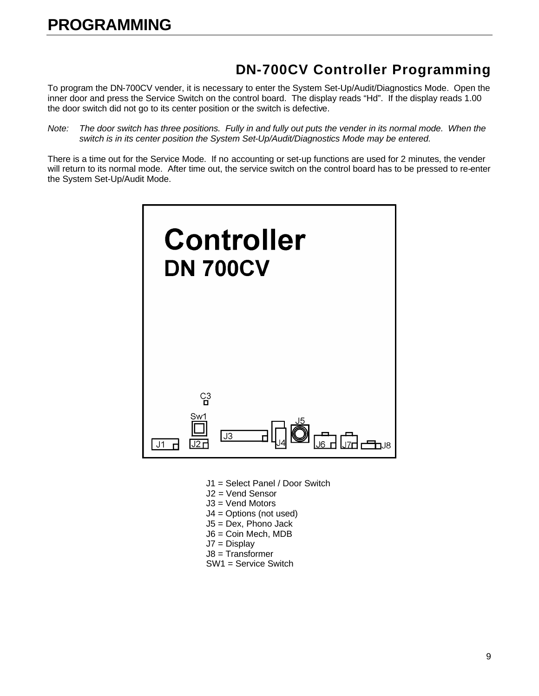### **DN-700CV Controller Programming**

To program the DN-700CV vender, it is necessary to enter the System Set-Up/Audit/Diagnostics Mode. Open the inner door and press the Service Switch on the control board. The display reads "Hd". If the display reads 1.00 the door switch did not go to its center position or the switch is defective.

*Note: The door switch has three positions. Fully in and fully out puts the vender in its normal mode. When the switch is in its center position the System Set-Up/Audit/Diagnostics Mode may be entered.*

There is a time out for the Service Mode. If no accounting or set-up functions are used for 2 minutes, the vender will return to its normal mode. After time out, the service switch on the control board has to be pressed to re-enter the System Set-Up/Audit Mode.



- J1 = Select Panel / Door Switch
- J2 = Vend Sensor
- J3 = Vend Motors
- J4 = Options (not used)
- J5 = Dex, Phono Jack
- J6 = Coin Mech, MDB
- J7 = Display
- J8 = Transformer
- SW1 = Service Switch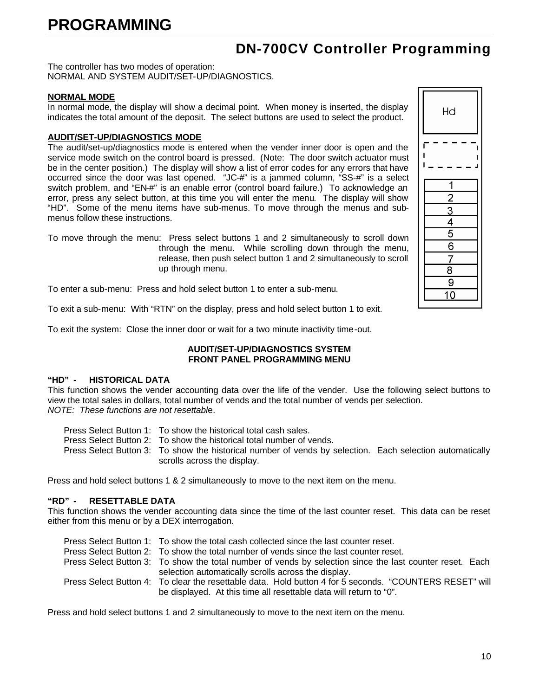### **DN-700CV Controller Programming**

The controller has two modes of operation: NORMAL AND SYSTEM AUDIT/SET-UP/DIAGNOSTICS.

#### **NORMAL MODE**

In normal mode, the display will show a decimal point. When money is inserted, the display indicates the total amount of the deposit. The select buttons are used to select the product.

#### **AUDIT/SET-UP/DIAGNOSTICS MODE**

The audit/set-up/diagnostics mode is entered when the vender inner door is open and the service mode switch on the control board is pressed. (Note: The door switch actuator must be in the center position.) The display will show a list of error codes for any errors that have occurred since the door was last opened. "JC-#" is a jammed column, "SS-#" is a select switch problem, and "EN-#" is an enable error (control board failure.) To acknowledge an error, press any select button, at this time you will enter the menu. The display will show "HD". Some of the menu items have sub-menus. To move through the menus and submenus follow these instructions.

To move through the menu: Press select buttons 1 and 2 simultaneously to scroll down through the menu. While scrolling down through the menu, release, then push select button 1 and 2 simultaneously to scroll up through menu.

To enter a sub-menu: Press and hold select button 1 to enter a sub-menu.

To exit a sub-menu: With "RTN" on the display, press and hold select button 1 to exit.

To exit the system: Close the inner door or wait for a two minute inactivity time-out.

#### **AUDIT/SET-UP/DIAGNOSTICS SYSTEM FRONT PANEL PROGRAMMING MENU**

#### **"HD" - HISTORICAL DATA**

This function shows the vender accounting data over the life of the vender. Use the following select buttons to view the total sales in dollars, total number of vends and the total number of vends per selection. *NOTE: These functions are not resettabl*e.

Press Select Button 1: To show the historical total cash sales.

Press Select Button 2: To show the historical total number of vends.

Press Select Button 3: To show the historical number of vends by selection. Each selection automatically scrolls across the display.

Press and hold select buttons 1 & 2 simultaneously to move to the next item on the menu.

#### **"RD" - RESETTABLE DATA**

This function shows the vender accounting data since the time of the last counter reset. This data can be reset either from this menu or by a DEX interrogation.

| Press Select Button 1: To show the total cash collected since the last counter reset.                    |
|----------------------------------------------------------------------------------------------------------|
| Press Select Button 2: To show the total number of vends since the last counter reset.                   |
| Press Select Button 3: To show the total number of vends by selection since the last counter reset. Each |
| selection automatically scrolls across the display.                                                      |
| Press Select Button 4: To clear the resettable data. Hold button 4 for 5 seconds. "COUNTERS RESET" will  |
| be displayed. At this time all resettable data will return to "0".                                       |

| Hd                                                                    |  |
|-----------------------------------------------------------------------|--|
| ĺ<br>ı<br>ľ                                                           |  |
|                                                                       |  |
|                                                                       |  |
|                                                                       |  |
|                                                                       |  |
|                                                                       |  |
|                                                                       |  |
| $\frac{1}{2}$ $\frac{2}{3}$ $\frac{4}{4}$ $\frac{5}{5}$ $\frac{6}{6}$ |  |
| $\frac{7}{8}$                                                         |  |
|                                                                       |  |
| $\overline{9}$                                                        |  |
| $\overline{0}$<br>1                                                   |  |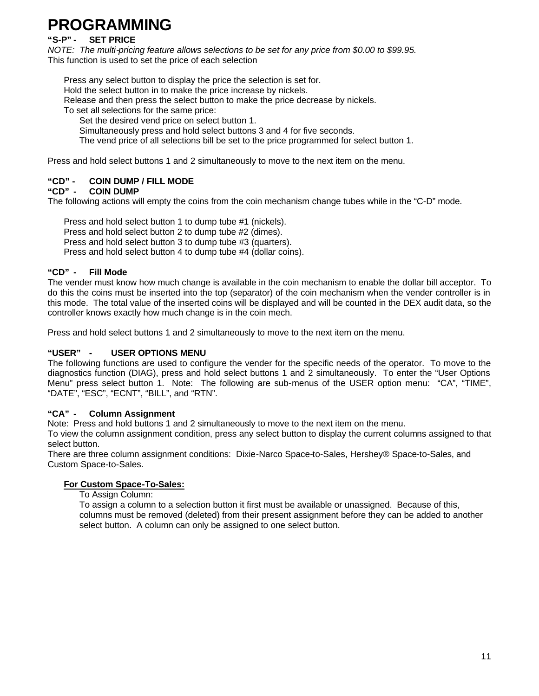#### **"S-P" - SET PRICE**

*NOTE: The multi-pricing feature allows selections to be set for any price from \$0.00 to \$99.95.* This function is used to set the price of each selection

Press any select button to display the price the selection is set for. Hold the select button in to make the price increase by nickels. Release and then press the select button to make the price decrease by nickels. To set all selections for the same price:

Set the desired vend price on select button 1.

Simultaneously press and hold select buttons 3 and 4 for five seconds.

The vend price of all selections bill be set to the price programmed for select button 1.

Press and hold select buttons 1 and 2 simultaneously to move to the next item on the menu.

#### **"CD" - COIN DUMP / FILL MODE**

#### **"CD" - COIN DUMP**

The following actions will empty the coins from the coin mechanism change tubes while in the "C-D" mode.

Press and hold select button 1 to dump tube #1 (nickels).

Press and hold select button 2 to dump tube #2 (dimes).

Press and hold select button 3 to dump tube #3 (quarters).

Press and hold select button 4 to dump tube #4 (dollar coins).

#### **"CD" - Fill Mode**

The vender must know how much change is available in the coin mechanism to enable the dollar bill acceptor. To do this the coins must be inserted into the top (separator) of the coin mechanism when the vender controller is in this mode. The total value of the inserted coins will be displayed and will be counted in the DEX audit data, so the controller knows exactly how much change is in the coin mech.

Press and hold select buttons 1 and 2 simultaneously to move to the next item on the menu.

#### **"USER" - USER OPTIONS MENU**

The following functions are used to configure the vender for the specific needs of the operator. To move to the diagnostics function (DIAG), press and hold select buttons 1 and 2 simultaneously. To enter the "User Options Menu" press select button 1. Note: The following are sub-menus of the USER option menu: "CA", "TIME", "DATE", "ESC", "ECNT", "BILL", and "RTN".

#### **"CA" - Column Assignment**

Note: Press and hold buttons 1 and 2 simultaneously to move to the next item on the menu.

To view the column assignment condition, press any select button to display the current columns assigned to that select button.

There are three column assignment conditions: Dixie-Narco Space-to-Sales, Hershey® Space-to-Sales, and Custom Space-to-Sales.

#### **For Custom Space-To-Sales:**

To Assign Column:

To assign a column to a selection button it first must be available or unassigned. Because of this, columns must be removed (deleted) from their present assignment before they can be added to another select button. A column can only be assigned to one select button.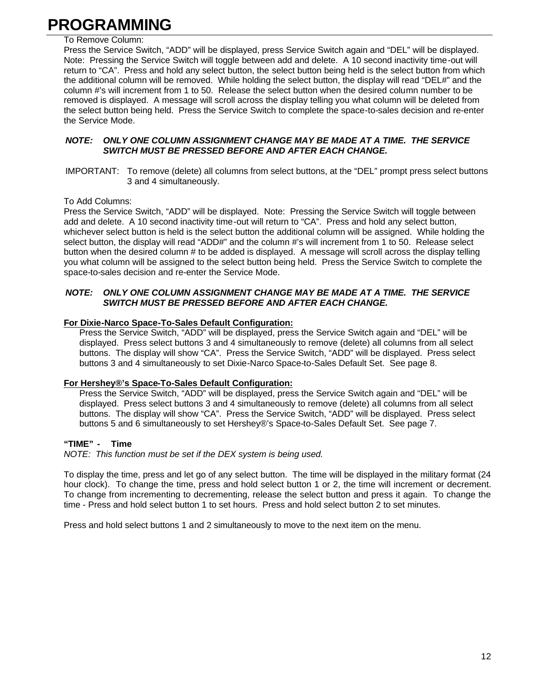#### To Remove Column:

Press the Service Switch, "ADD" will be displayed, press Service Switch again and "DEL" will be displayed. Note: Pressing the Service Switch will toggle between add and delete. A 10 second inactivity time-out will return to "CA". Press and hold any select button, the select button being held is the select button from which the additional column will be removed. While holding the select button, the display will read "DEL#" and the column #'s will increment from 1 to 50. Release the select button when the desired column number to be removed is displayed. A message will scroll across the display telling you what column will be deleted from the select button being held. Press the Service Switch to complete the space-to-sales decision and re-enter the Service Mode.

#### *NOTE: ONLY ONE COLUMN ASSIGNMENT CHANGE MAY BE MADE AT A TIME. THE SERVICE SWITCH MUST BE PRESSED BEFORE AND AFTER EACH CHANGE.*

IMPORTANT: To remove (delete) all columns from select buttons, at the "DEL" prompt press select buttons 3 and 4 simultaneously.

#### To Add Columns:

Press the Service Switch, "ADD" will be displayed. Note: Pressing the Service Switch will toggle between add and delete. A 10 second inactivity time-out will return to "CA". Press and hold any select button, whichever select button is held is the select button the additional column will be assigned. While holding the select button, the display will read "ADD#" and the column #'s will increment from 1 to 50. Release select button when the desired column # to be added is displayed. A message will scroll across the display telling you what column will be assigned to the select button being held. Press the Service Switch to complete the space-to-sales decision and re-enter the Service Mode.

#### *NOTE: ONLY ONE COLUMN ASSIGNMENT CHANGE MAY BE MADE AT A TIME. THE SERVICE SWITCH MUST BE PRESSED BEFORE AND AFTER EACH CHANGE.*

#### **For Dixie-Narco Space-To-Sales Default Configuration:**

Press the Service Switch, "ADD" will be displayed, press the Service Switch again and "DEL" will be displayed. Press select buttons 3 and 4 simultaneously to remove (delete) all columns from all select buttons. The display will show "CA". Press the Service Switch, "ADD" will be displayed. Press select buttons 3 and 4 simultaneously to set Dixie-Narco Space-to-Sales Default Set. See page 8.

#### **For Hershey®'s Space-To-Sales Default Configuration:**

Press the Service Switch, "ADD" will be displayed, press the Service Switch again and "DEL" will be displayed. Press select buttons 3 and 4 simultaneously to remove (delete) all columns from all select buttons. The display will show "CA". Press the Service Switch, "ADD" will be displayed. Press select buttons 5 and 6 simultaneously to set Hershey®'s Space-to-Sales Default Set. See page 7.

#### **"TIME" - Time**

*NOTE: This function must be set if the DEX system is being used.*

To display the time, press and let go of any select button. The time will be displayed in the military format (24 hour clock). To change the time, press and hold select button 1 or 2, the time will increment or decrement. To change from incrementing to decrementing, release the select button and press it again. To change the time - Press and hold select button 1 to set hours. Press and hold select button 2 to set minutes.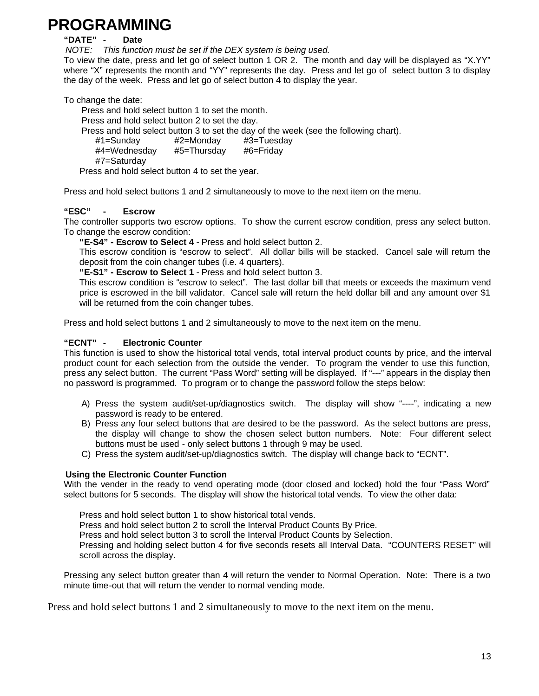#### **"DATE" - Date**

*NOTE: This function must be set if the DEX system is being used.*

To view the date, press and let go of select button 1 OR 2. The month and day will be displayed as "X.YY" where "X" represents the month and "YY" represents the day. Press and let go of select button 3 to display the day of the week. Press and let go of select button 4 to display the year.

To change the date:

Press and hold select button 1 to set the month.

Press and hold select button 2 to set the day.

Press and hold select button 3 to set the day of the week (see the following chart).

#1=Sunday #2=Monday #3=Tuesday

#4=Wednesday #5=Thursday #6=Friday

#7=Saturday

Press and hold select button 4 to set the year.

Press and hold select buttons 1 and 2 simultaneously to move to the next item on the menu.

#### **"ESC" - Escrow**

The controller supports two escrow options. To show the current escrow condition, press any select button. To change the escrow condition:

**"E-S4" - Escrow to Select 4** - Press and hold select button 2.

This escrow condition is "escrow to select". All dollar bills will be stacked. Cancel sale will return the deposit from the coin changer tubes (i.e. 4 quarters).

**"E-S1" - Escrow to Select 1** - Press and hold select button 3.

This escrow condition is "escrow to select". The last dollar bill that meets or exceeds the maximum vend price is escrowed in the bill validator. Cancel sale will return the held dollar bill and any amount over \$1 will be returned from the coin changer tubes.

Press and hold select buttons 1 and 2 simultaneously to move to the next item on the menu.

#### **"ECNT" - Electronic Counter**

This function is used to show the historical total vends, total interval product counts by price, and the interval product count for each selection from the outside the vender. To program the vender to use this function, press any select button. The current "Pass Word" setting will be displayed. If "---" appears in the display then no password is programmed. To program or to change the password follow the steps below:

- A) Press the system audit/set-up/diagnostics switch. The display will show "----", indicating a new password is ready to be entered.
- B) Press any four select buttons that are desired to be the password. As the select buttons are press, the display will change to show the chosen select button numbers. Note: Four different select buttons must be used - only select buttons 1 through 9 may be used.
- C) Press the system audit/set-up/diagnostics switch. The display will change back to "ECNT".

#### **Using the Electronic Counter Function**

With the vender in the ready to vend operating mode (door closed and locked) hold the four "Pass Word" select buttons for 5 seconds. The display will show the historical total vends. To view the other data:

Press and hold select button 1 to show historical total vends.

Press and hold select button 2 to scroll the Interval Product Counts By Price.

Press and hold select button 3 to scroll the Interval Product Counts by Selection.

Pressing and holding select button 4 for five seconds resets all Interval Data. "COUNTERS RESET" will scroll across the display.

Pressing any select button greater than 4 will return the vender to Normal Operation. Note: There is a two minute time-out that will return the vender to normal vending mode.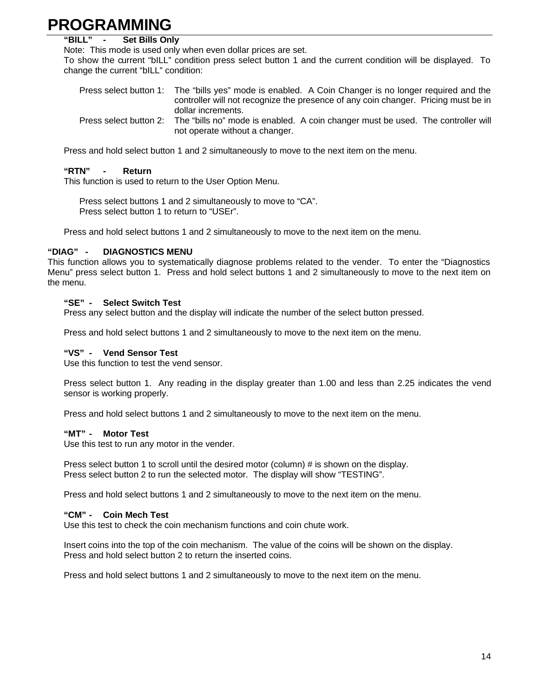#### **"BILL" - Set Bills Only**

Note: This mode is used only when even dollar prices are set.

To show the current "bILL" condition press select button 1 and the current condition will be displayed. To change the current "bILL" condition:

| Press select button 1: | The "bills yes" mode is enabled. A Coin Changer is no longer required and the      |
|------------------------|------------------------------------------------------------------------------------|
|                        | controller will not recognize the presence of any coin changer. Pricing must be in |
|                        | dollar increments.                                                                 |
| Press select button 2: | The "bills no" mode is enabled. A coin changer must be used. The controller will   |
|                        | not operate without a changer.                                                     |

Press and hold select button 1 and 2 simultaneously to move to the next item on the menu.

#### **"RTN" - Return**

This function is used to return to the User Option Menu.

Press select buttons 1 and 2 simultaneously to move to "CA". Press select button 1 to return to "USEr".

Press and hold select buttons 1 and 2 simultaneously to move to the next item on the menu.

#### **"DIAG" - DIAGNOSTICS MENU**

This function allows you to systematically diagnose problems related to the vender. To enter the "Diagnostics Menu" press select button 1. Press and hold select buttons 1 and 2 simultaneously to move to the next item on the menu.

#### **"SE" - Select Switch Test**

Press any select button and the display will indicate the number of the select button pressed.

Press and hold select buttons 1 and 2 simultaneously to move to the next item on the menu.

#### **"VS" - Vend Sensor Test**

Use this function to test the vend sensor.

Press select button 1. Any reading in the display greater than 1.00 and less than 2.25 indicates the vend sensor is working properly.

Press and hold select buttons 1 and 2 simultaneously to move to the next item on the menu.

#### **"MT" - Motor Test**

Use this test to run any motor in the vender.

Press select button 1 to scroll until the desired motor (column) # is shown on the display. Press select button 2 to run the selected motor. The display will show "TESTING".

Press and hold select buttons 1 and 2 simultaneously to move to the next item on the menu.

#### **"CM" - Coin Mech Test**

Use this test to check the coin mechanism functions and coin chute work.

Insert coins into the top of the coin mechanism. The value of the coins will be shown on the display. Press and hold select button 2 to return the inserted coins.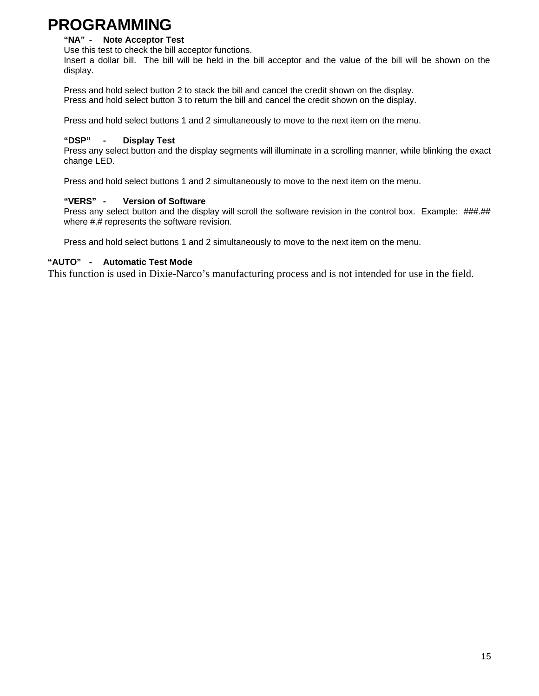#### **"NA" - Note Acceptor Test**

Use this test to check the bill acceptor functions.

Insert a dollar bill. The bill will be held in the bill acceptor and the value of the bill will be shown on the display.

Press and hold select button 2 to stack the bill and cancel the credit shown on the display. Press and hold select button 3 to return the bill and cancel the credit shown on the display.

Press and hold select buttons 1 and 2 simultaneously to move to the next item on the menu.

#### **"DSP" - Display Test**

Press any select button and the display segments will illuminate in a scrolling manner, while blinking the exact change LED.

Press and hold select buttons 1 and 2 simultaneously to move to the next item on the menu.

#### **"VERS" - Version of Software**

Press any select button and the display will scroll the software revision in the control box. Example: ###.## where #.# represents the software revision.

Press and hold select buttons 1 and 2 simultaneously to move to the next item on the menu.

#### **"AUTO" - Automatic Test Mode**

This function is used in Dixie-Narco's manufacturing process and is not intended for use in the field.